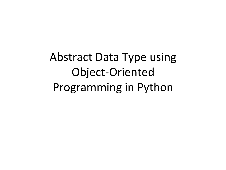Abstract Data Type using Object-Oriented Programming in Python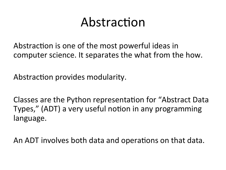## Abstraction

Abstraction is one of the most powerful ideas in computer science. It separates the what from the how.

Abstraction provides modularity.

Classes are the Python representation for "Abstract Data" Types," (ADT) a very useful notion in any programming language.

An ADT involves both data and operations on that data.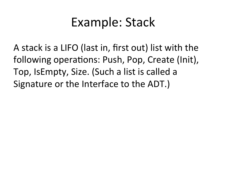## Example: Stack

A stack is a LIFO (last in, first out) list with the following operations: Push, Pop, Create (Init), Top, IsEmpty, Size. (Such a list is called a Signature or the Interface to the ADT.)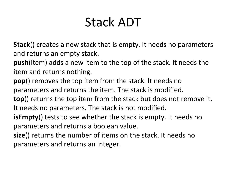# Stack ADT

**Stack**() creates a new stack that is empty. It needs no parameters and returns an empty stack.

**push**(item) adds a new item to the top of the stack. It needs the item and returns nothing.

**pop**() removes the top item from the stack. It needs no

parameters and returns the item. The stack is modified.

**top**() returns the top item from the stack but does not remove it. It needs no parameters. The stack is not modified.

**isEmpty**() tests to see whether the stack is empty. It needs no parameters and returns a boolean value.

**size**() returns the number of items on the stack. It needs no parameters and returns an integer.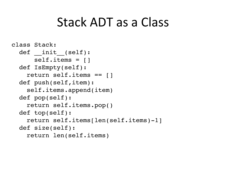#### Stack ADT as a Class

```
class Stack:
def init (self):
    self.items = []
 def IsEmpty(self):
   return self.items == []
 def push(self,item):
   self.items.append(item)
 def pop(self):
   return self.items.pop()
 def top(self):
   return self.items[len(self.items)-1]
 def size(self):
   return len(self.items)
```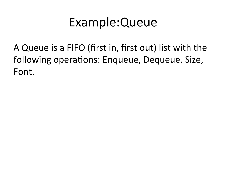## Example: Queue

A Queue is a FIFO (first in, first out) list with the following operations: Enqueue, Dequeue, Size, Font.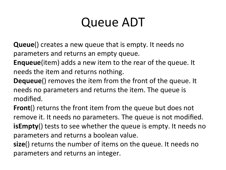## **Queue ADT**

**Queue**() creates a new queue that is empty. It needs no parameters and returns an empty queue.

**Enqueue**(item) adds a new item to the rear of the queue. It needs the item and returns nothing.

**Dequeue**() removes the item from the front of the queue. It needs no parameters and returns the item. The queue is modified.

**Front**() returns the front item from the queue but does not remove it. It needs no parameters. The queue is not modified. **isEmpty**() tests to see whether the queue is empty. It needs no parameters and returns a boolean value.

**size**() returns the number of items on the queue. It needs no parameters and returns an integer.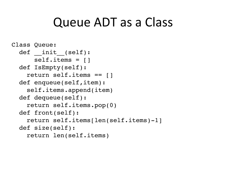#### Queue ADT as a Class

```
Class Queue:
def int_{-}(self):
    self.items = []
 def IsEmpty(self):
   return self.items == []
 def enqueue(self,item):
   self.items.append(item)
 def dequeue(self):
   return self.items.pop(0)
 def front(self):
   return self.items[len(self.items)-1]
 def size(self):
   return len(self.items)
```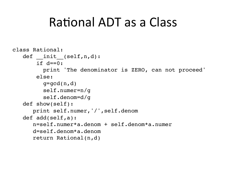### Rational ADT as a Class

```
class Rational:
 def init_(self,n,d):
     if d == 0:
       print 'The denominator is ZERO, can not proceed'
     else:
       q = gcd(n, d)self. numer=n/qself.denom=d/qdef show(self):
    print self.numer, '/', self.denom
 def add(self, a):
    n = self.numer*a.denom + self.denom*a.numerd=self.denom*a.denomreturn Rational(n,d)
```